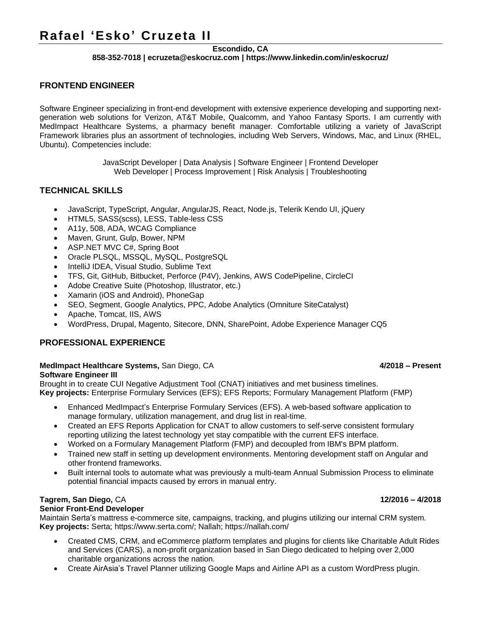# **Rafael 'Esko' Cruzeta II**

## **Escondido, CA**

### **858-352-7018 | ecruzeta@eskocruz.com | https://www.linkedin.com/in/eskocruz/**

## **FRONTEND ENGINEER**

Software Engineer specializing in front-end development with extensive experience developing and supporting nextgeneration web solutions for Verizon, AT&T Mobile, Qualcomm, and Yahoo Fantasy Sports. I am currently with MedImpact Healthcare Systems, a pharmacy benefit manager. Comfortable utilizing a variety of JavaScript Framework libraries plus an assortment of technologies, including Web Servers, Windows, Mac, and Linux (RHEL, Ubuntu). Competencies include:

> JavaScript Developer | Data Analysis | Software Engineer | Frontend Developer Web Developer | Process Improvement | Risk Analysis | Troubleshooting

## **TECHNICAL SKILLS**

- JavaScript, TypeScript, Angular, AngularJS, React, Node.js, Telerik Kendo UI, jQuery
- HTML5, SASS(scss), LESS, Table-less CSS
- A11y, 508, ADA, WCAG Compliance
- Maven, Grunt, Gulp, Bower, NPM
- ASP.NET MVC C#, Spring Boot
- Oracle PLSQL, MSSQL, MySQL, PostgreSQL
- IntelliJ IDEA, Visual Studio, Sublime Text
- TFS, Git, GitHub, Bitbucket, Perforce (P4V), Jenkins, AWS CodePipeline, CircleCI
- Adobe Creative Suite (Photoshop, Illustrator, etc.)
- Xamarin (iOS and Android), PhoneGap
- SEO, Segment, Google Analytics, PPC, Adobe Analytics (Omniture SiteCatalyst)
- Apache, Tomcat, IIS, AWS
- WordPress, Drupal, Magento, Sitecore, DNN, SharePoint, Adobe Experience Manager CQ5

## **PROFESSIONAL EXPERIENCE**

### **MedImpact Healthcare Systems,** San Diego, CA **4/2018 – Present**

### **Software Engineer III**

Brought in to create CUI Negative Adjustment Tool (CNAT) initiatives and met business timelines. **Key projects:** Enterprise Formulary Services (EFS); EFS Reports; Formulary Management Platform (FMP)

- Enhanced MedImpact's Enterprise Formulary Services (EFS). A web-based software application to manage formulary, utilization management, and drug list in real-time.
- Created an EFS Reports Application for CNAT to allow customers to self-serve consistent formulary reporting utilizing the latest technology yet stay compatible with the current EFS interface.
- Worked on a Formulary Management Platform (FMP) and decoupled from IBM's BPM platform.
- Trained new staff in setting up development environments. Mentoring development staff on Angular and other frontend frameworks.
- Built internal tools to automate what was previously a multi-team Annual Submission Process to eliminate potential financial impacts caused by errors in manual entry.

## **Tagrem, San Diego,** CA **12/2016 – 4/2018**

### **Senior Front-End Developer**

Maintain Serta's mattress e-commerce site, campaigns, tracking, and plugins utilizing our internal CRM system. **Key projects:** Serta; https://www.serta.com/; Nallah; https://nallah.com/

- Created CMS, CRM, and eCommerce platform templates and plugins for clients like Charitable Adult Rides and Services (CARS), a non-profit organization based in San Diego dedicated to helping over 2,000 charitable organizations across the nation.
- Create AirAsia's Travel Planner utilizing Google Maps and Airline API as a custom WordPress plugin.